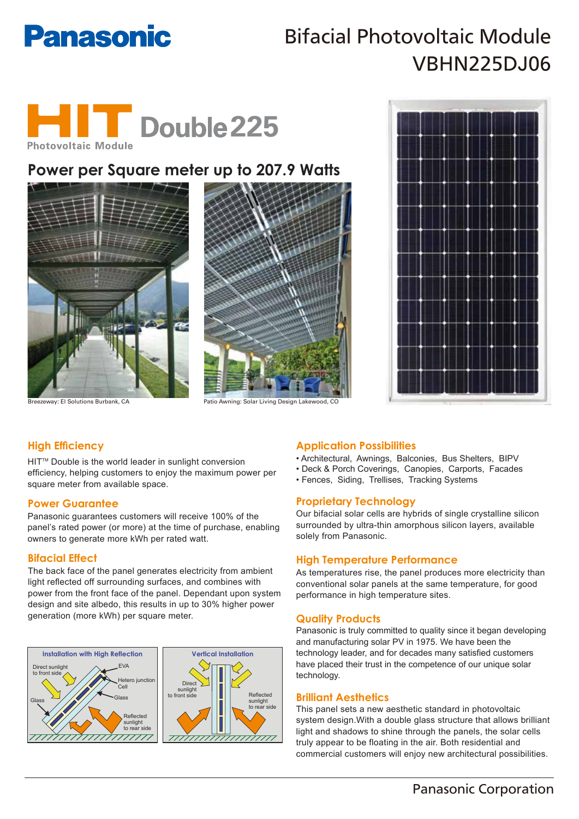# **Panasonic**

# Bifacial Photovoltaic Module VBHN225DJ06



# **Power per Square meter up to 207.9 Watts**







Breezeway: El Solutions Burbank, CA Patio Awning: Solar Living Design

## **High Efficiency**

HIT™ Double is the world leader in sunlight conversion efficiency, helping customers to enjoy the maximum power per square meter from available space.

### **Power Guarantee**

Panasonic guarantees customers will receive 100% of the panel's rated power (or more) at the time of purchase, enabling owners to generate more kWh per rated watt.

### **Bifacial Effect**

The back face of the panel generates electricity from ambient light reflected off surrounding surfaces, and combines with power from the front face of the panel. Dependant upon system design and site albedo, this results in up to 30% higher power generation (more kWh) per square meter.



### **Application Possibilities**

- Architectural, Awnings, Balconies, Bus Shelters, BIPV
- Deck & Porch Coverings, Canopies, Carports, Facades
- Fences, Siding, Trellises, Tracking Systems

### **Proprietary Technology**

Our bifacial solar cells are hybrids of single crystalline silicon surrounded by ultra-thin amorphous silicon layers, available solely from Panasonic.

### **High Temperature Performance**

As temperatures rise, the panel produces more electricity than conventional solar panels at the same temperature, for good performance in high temperature sites.

### **Quality Products**

Panasonic is truly committed to quality since it began developing and manufacturing solar PV in 1975. We have been the technology leader, and for decades many satisfied customers have placed their trust in the competence of our unique solar technology.

### **Brilliant Aesthetics**

This panel sets a new aesthetic standard in photovoltaic system design.With a double glass structure that allows brilliant light and shadows to shine through the panels, the solar cells truly appear to be floating in the air. Both residential and commercial customers will enjoy new architectural possibilities.